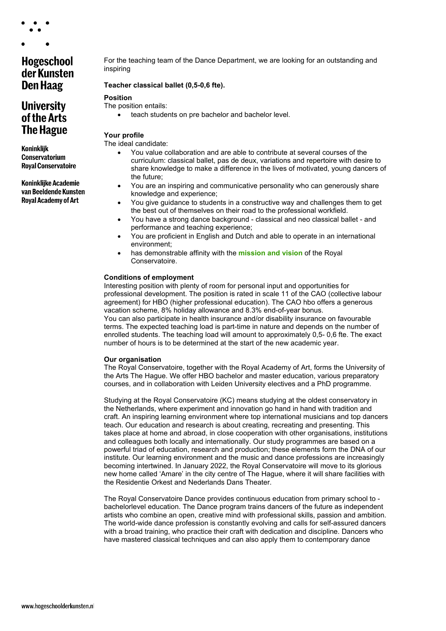Hogeschool

# der Kunsten **Den Haag**

## **University** of the Arts **The Hague**

**Koninklijk Conservatorium Royal Conservatoire** 

**Koninklijke Academie** van Beeldende Kunsten **Royal Academy of Art** 

For the teaching team of the Dance Department, we are looking for an outstanding and inspiring

#### **Teacher classical ballet (0,5-0,6 fte).**

#### **Position**

The position entails:

• teach students on pre bachelor and bachelor level.

### **Your profile**

The ideal candidate:

- You value collaboration and are able to contribute at several courses of the curriculum: classical ballet, pas de deux, variations and repertoire with desire to share knowledge to make a difference in the lives of motivated, young dancers of the future;
- You are an inspiring and communicative personality who can generously share knowledge and experience;
- You give guidance to students in a constructive way and challenges them to get the best out of themselves on their road to the professional workfield.
- You have a strong dance background classical and neo classical ballet and performance and teaching experience;
- You are proficient in English and Dutch and able to operate in an international environment;
- has demonstrable affinity with the **[mission and vision](https://www.koncon.nl/en/about-kc/royal-conservatoire/missionvission-1?)** of the Royal Conservatoire.

#### **Conditions of employment**

Interesting position with plenty of room for personal input and opportunities for professional development. The position is rated in scale 11 of the CAO (collective labour agreement) for HBO (higher professional education). The CAO hbo offers a generous vacation scheme, 8% holiday allowance and 8.3% end-of-year bonus. You can also participate in health insurance and/or disability insurance on favourable terms. The expected teaching load is part-time in nature and depends on the number of enrolled students. The teaching load will amount to approximately 0,5- 0,6 fte. The exact number of hours is to be determined at the start of the new academic year.

#### **Our organisation**

The Royal Conservatoire, together with the Royal Academy of Art, forms the University of the Arts The Hague. We offer HBO bachelor and master education, various preparatory courses, and in collaboration with Leiden University electives and a PhD programme.

Studying at the Royal Conservatoire (KC) means studying at the oldest conservatory in the Netherlands, where experiment and innovation go hand in hand with tradition and craft. An inspiring learning environment where top international musicians and top dancers teach. Our education and research is about creating, recreating and presenting. This takes place at home and abroad, in close cooperation with other organisations, institutions and colleagues both locally and internationally. Our study programmes are based on a powerful triad of education, research and production; these elements form the DNA of our institute. Our learning environment and the music and dance professions are increasingly becoming intertwined. In January 2022, the Royal Conservatoire will move to its glorious new home called 'Amare' in the city centre of The Hague, where it will share facilities with the Residentie Orkest and Nederlands Dans Theater.

The Royal Conservatoire Dance provides continuous education from primary school to bachelorlevel education. The Dance program trains dancers of the future as independent artists who combine an open, creative mind with professional skills, passion and ambition. The world-wide dance profession is constantly evolving and calls for self-assured dancers with a broad training, who practice their craft with dedication and discipline. Dancers who have mastered classical techniques and can also apply them to contemporary dance